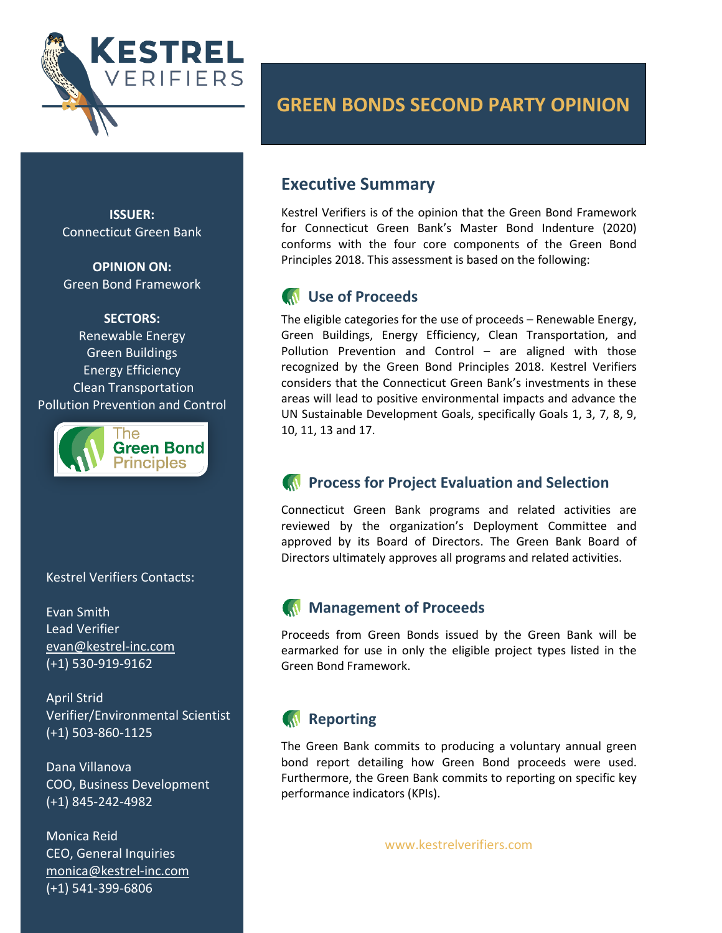

**ISSUER:** Connecticut Green Bank

**OPINION ON:** Green Bond Framework

**SECTORS:** Renewable Energy Green Buildings Energy Efficiency Clean Transportation Pollution Prevention and Control



Kestrel Verifiers Contacts:

Evan Smith Lead Verifier [evan@kestrel-inc.com](mailto:evan@kestrel-inc.com) (+1) 530-919-9162

April Strid Verifier/Environmental Scientist (+1) 503-860-1125

Dana Villanova COO, Business Development (+1) 845-242-4982

Monica Reid CEO, General Inquiries [monica@kestrel-inc.com](mailto:monica@kestrel-inc.com) (+1) 541-399-6806

# **GREEN BONDS SECOND PARTY OPINION**

# **Executive Summary**

Kestrel Verifiers is of the opinion that the Green Bond Framework for Connecticut Green Bank's Master Bond Indenture (2020) conforms with the four core components of the Green Bond Principles 2018. This assessment is based on the following:

# **IN** Use of Proceeds

The eligible categories for the use of proceeds – Renewable Energy, Green Buildings, Energy Efficiency, Clean Transportation, and Pollution Prevention and Control – are aligned with those recognized by the Green Bond Principles 2018. Kestrel Verifiers considers that the Connecticut Green Bank's investments in these areas will lead to positive environmental impacts and advance the UN Sustainable Development Goals, specifically Goals 1, 3, 7, 8, 9, 10, 11, 13 and 17.

# **Process for Project Evaluation and Selection**

Connecticut Green Bank programs and related activities are reviewed by the organization's Deployment Committee and approved by its Board of Directors. The Green Bank Board of Directors ultimately approves all programs and related activities.

# **Management of Proceeds**

Proceeds from Green Bonds issued by the Green Bank will be earmarked for use in only the eligible project types listed in the Green Bond Framework.

# **Reporting**

The Green Bank commits to producing a voluntary annual green bond report detailing how Green Bond proceeds were used. Furthermore, the Green Bank commits to reporting on specific key performance indicators (KPIs).

www.kestrelverifiers.com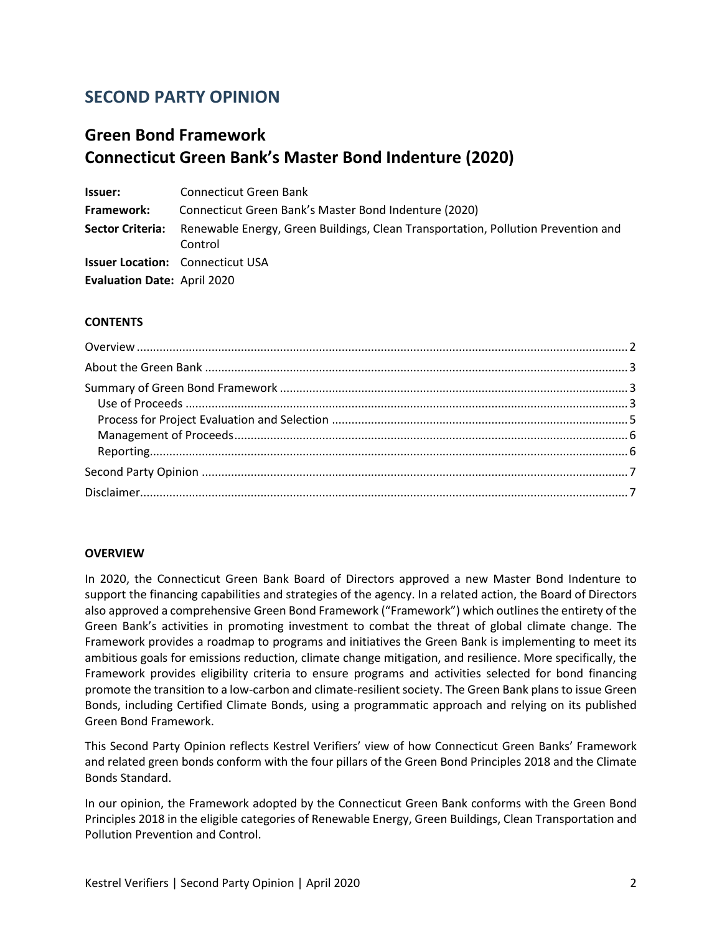# **SECOND PARTY OPINION**

# **Green Bond Framework Connecticut Green Bank's Master Bond Indenture (2020)**

**Issuer:** Connecticut Green Bank **Framework:** Connecticut Green Bank's Master Bond Indenture (2020) **Sector Criteria:** Renewable Energy, Green Buildings, Clean Transportation, Pollution Prevention and Control **Issuer Location:** Connecticut USA **Evaluation Date:** April 2020

### **CONTENTS**

### <span id="page-1-0"></span>**OVERVIEW**

In 2020, the Connecticut Green Bank Board of Directors approved a new Master Bond Indenture to support the financing capabilities and strategies of the agency. In a related action, the Board of Directors also approved a comprehensive Green Bond Framework ("Framework") which outlines the entirety of the Green Bank's activities in promoting investment to combat the threat of global climate change. The Framework provides a roadmap to programs and initiatives the Green Bank is implementing to meet its ambitious goals for emissions reduction, climate change mitigation, and resilience. More specifically, the Framework provides eligibility criteria to ensure programs and activities selected for bond financing promote the transition to a low-carbon and climate-resilient society. The Green Bank plans to issue Green Bonds, including Certified Climate Bonds, using a programmatic approach and relying on its published Green Bond Framework.

This Second Party Opinion reflects Kestrel Verifiers' view of how Connecticut Green Banks' Framework and related green bonds conform with the four pillars of the Green Bond Principles 2018 and the Climate Bonds Standard.

In our opinion, the Framework adopted by the Connecticut Green Bank conforms with the Green Bond Principles 2018 in the eligible categories of Renewable Energy, Green Buildings, Clean Transportation and Pollution Prevention and Control.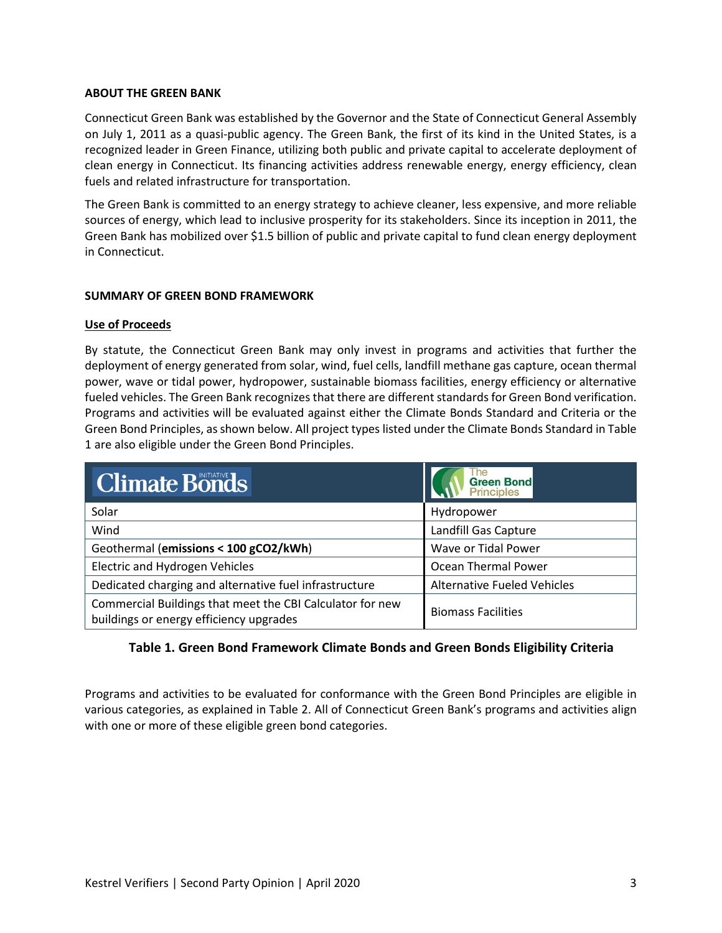#### <span id="page-2-0"></span>**ABOUT THE GREEN BANK**

Connecticut Green Bank was established by the Governor and the State of Connecticut General Assembly on July 1, 2011 as a quasi-public agency. The Green Bank, the first of its kind in the United States, is a recognized leader in Green Finance, utilizing both public and private capital to accelerate deployment of clean energy in Connecticut. Its financing activities address renewable energy, energy efficiency, clean fuels and related infrastructure for transportation.

The Green Bank is committed to an energy strategy to achieve cleaner, less expensive, and more reliable sources of energy, which lead to inclusive prosperity for its stakeholders. Since its inception in 2011, the Green Bank has mobilized over \$1.5 billion of public and private capital to fund clean energy deployment in Connecticut.

### <span id="page-2-1"></span>**SUMMARY OF GREEN BOND FRAMEWORK**

#### <span id="page-2-2"></span>**Use of Proceeds**

By statute, the Connecticut Green Bank may only invest in programs and activities that further the deployment of energy generated from solar, wind, fuel cells, landfill methane gas capture, ocean thermal power, wave or tidal power, hydropower, sustainable biomass facilities, energy efficiency or alternative fueled vehicles. The Green Bank recognizes that there are different standards for Green Bond verification. Programs and activities will be evaluated against either the Climate Bonds Standard and Criteria or the Green Bond Principles, as shown below. All project types listed under the Climate Bonds Standard in Table 1 are also eligible under the Green Bond Principles.

| <b>Climate Bonds</b>                                                                                 | The<br>Green Bond<br>Principles    |
|------------------------------------------------------------------------------------------------------|------------------------------------|
| Solar                                                                                                | Hydropower                         |
| Wind                                                                                                 | Landfill Gas Capture               |
| Geothermal (emissions < 100 gCO2/kWh)                                                                | Wave or Tidal Power                |
| <b>Electric and Hydrogen Vehicles</b>                                                                | Ocean Thermal Power                |
| Dedicated charging and alternative fuel infrastructure                                               | <b>Alternative Fueled Vehicles</b> |
| Commercial Buildings that meet the CBI Calculator for new<br>buildings or energy efficiency upgrades | <b>Biomass Facilities</b>          |

### **Table 1. Green Bond Framework Climate Bonds and Green Bonds Eligibility Criteria**

Programs and activities to be evaluated for conformance with the Green Bond Principles are eligible in various categories, as explained in Table 2. All of Connecticut Green Bank's programs and activities align with one or more of these eligible green bond categories.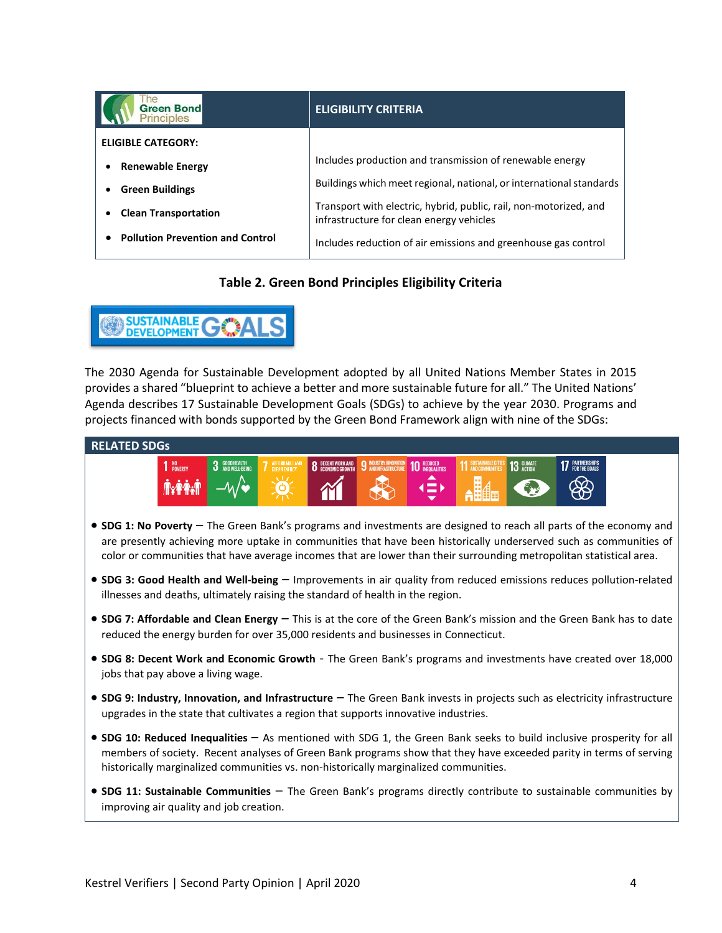| <b>Green Bond</b><br><b>Principles</b>  | <b>ELIGIBILITY CRITERIA</b>                                                                                   |
|-----------------------------------------|---------------------------------------------------------------------------------------------------------------|
| <b>ELIGIBLE CATEGORY:</b>               |                                                                                                               |
| <b>Renewable Energy</b>                 | Includes production and transmission of renewable energy                                                      |
| <b>Green Buildings</b>                  | Buildings which meet regional, national, or international standards                                           |
| <b>Clean Transportation</b>             | Transport with electric, hybrid, public, rail, non-motorized, and<br>infrastructure for clean energy vehicles |
| <b>Pollution Prevention and Control</b> | Includes reduction of air emissions and greenhouse gas control                                                |

# **Table 2. Green Bond Principles Eligibility Criteria**



The 2030 Agenda for Sustainable Development adopted by all United Nations Member States in 2015 provides a shared "blueprint to achieve a better and more sustainable future for all." The United Nations' Agenda describes 17 Sustainable Development Goals (SDGs) to achieve by the year 2030. Programs and projects financed with bonds supported by the Green Bond Framework align with nine of the SDGs:

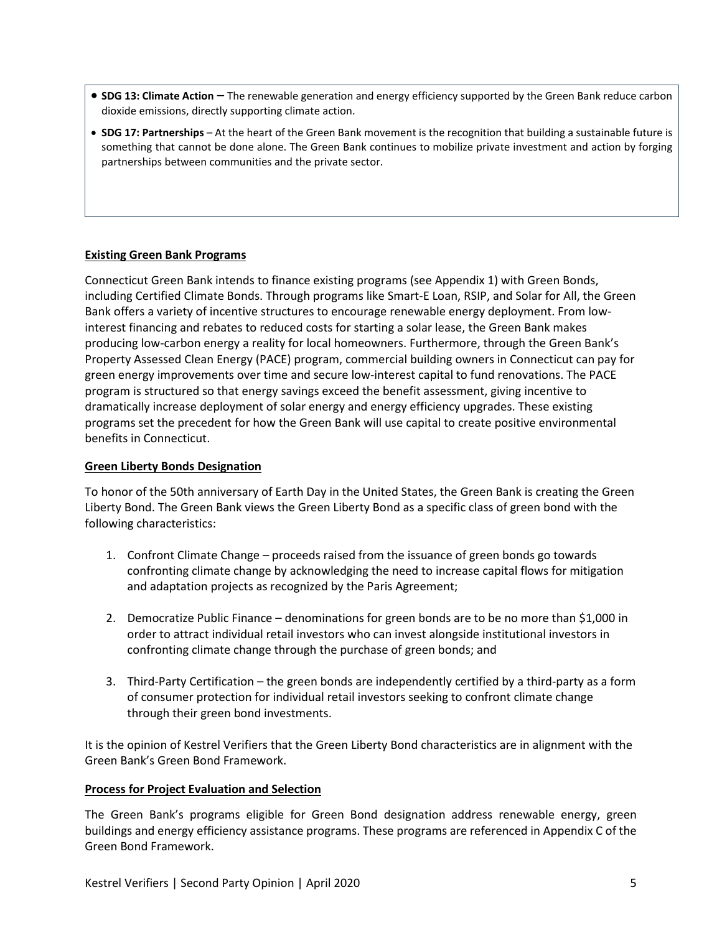- **SDG 13: Climate Action** The renewable generation and energy efficiency supported by the Green Bank reduce carbon dioxide emissions, directly supporting climate action.
- **SDG 17: Partnerships** At the heart of the Green Bank movement is the recognition that building a sustainable future is something that cannot be done alone. The Green Bank continues to mobilize private investment and action by forging partnerships between communities and the private sector.

### <span id="page-4-0"></span>**Existing Green Bank Programs**

Connecticut Green Bank intends to finance existing programs (see Appendix 1) with Green Bonds, including Certified Climate Bonds. Through programs like Smart-E Loan, RSIP, and Solar for All, the Green Bank offers a variety of incentive structures to encourage renewable energy deployment. From lowinterest financing and rebates to reduced costs for starting a solar lease, the Green Bank makes producing low-carbon energy a reality for local homeowners. Furthermore, through the Green Bank's Property Assessed Clean Energy (PACE) program, commercial building owners in Connecticut can pay for green energy improvements over time and secure low-interest capital to fund renovations. The PACE program is structured so that energy savings exceed the benefit assessment, giving incentive to dramatically increase deployment of solar energy and energy efficiency upgrades. These existing programs set the precedent for how the Green Bank will use capital to create positive environmental benefits in Connecticut.

#### **Green Liberty Bonds Designation**

To honor of the 50th anniversary of Earth Day in the United States, the Green Bank is creating the Green Liberty Bond. The Green Bank views the Green Liberty Bond as a specific class of green bond with the following characteristics:

- 1. Confront Climate Change proceeds raised from the issuance of green bonds go towards confronting climate change by acknowledging the need to increase capital flows for mitigation and adaptation projects as recognized by the Paris Agreement;
- 2. Democratize Public Finance denominations for green bonds are to be no more than \$1,000 in order to attract individual retail investors who can invest alongside institutional investors in confronting climate change through the purchase of green bonds; and
- 3. Third-Party Certification the green bonds are independently certified by a third-party as a form of consumer protection for individual retail investors seeking to confront climate change through their green bond investments.

It is the opinion of Kestrel Verifiers that the Green Liberty Bond characteristics are in alignment with the Green Bank's Green Bond Framework.

#### **Process for Project Evaluation and Selection**

The Green Bank's programs eligible for Green Bond designation address renewable energy, green buildings and energy efficiency assistance programs. These programs are referenced in Appendix C of the Green Bond Framework.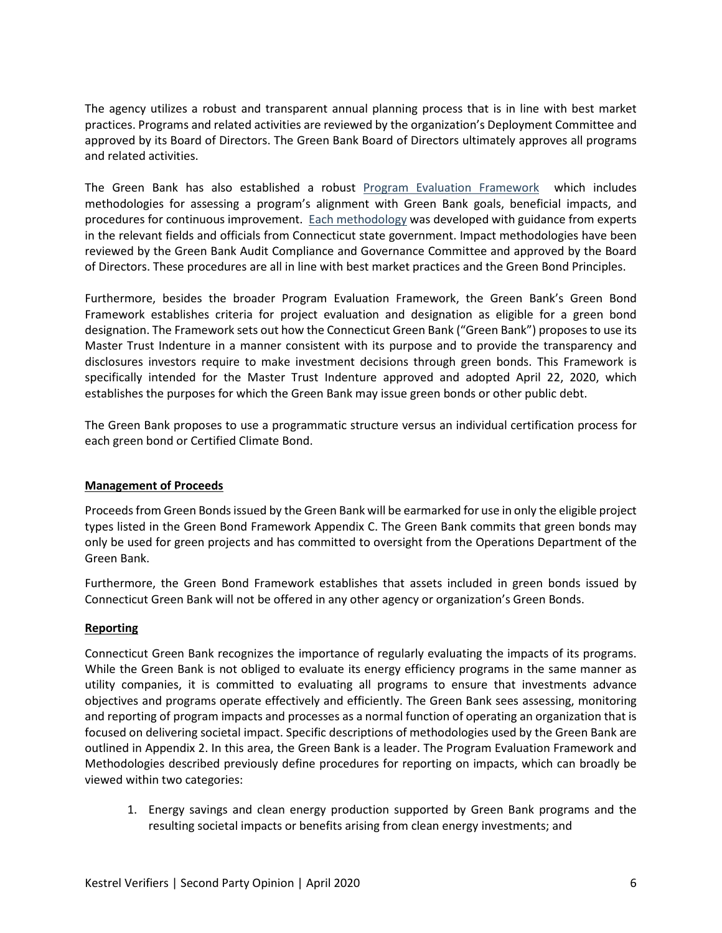The agency utilizes a robust and transparent annual planning process that is in line with best market practices. Programs and related activities are reviewed by the organization's Deployment Committee and approved by its Board of Directors. The Green Bank Board of Directors ultimately approves all programs and related activities.

The Green Bank has also established a robust [Program Evaluation Framework](https://ctgreenbank.com/wp-content/uploads/2017/02/CTGreenBank-Evaluation-Framework-July-2016.pdf) which includes methodologies for assessing a program's alignment with Green Bank goals, beneficial impacts, and procedures for continuous improvement. [Each methodology](https://ctgreenbank.com/strategy-impact/impact/) was developed with guidance from experts in the relevant fields and officials from Connecticut state government. Impact methodologies have been reviewed by the Green Bank Audit Compliance and Governance Committee and approved by the Board of Directors. These procedures are all in line with best market practices and the Green Bond Principles.

Furthermore, besides the broader Program Evaluation Framework, the Green Bank's Green Bond Framework establishes criteria for project evaluation and designation as eligible for a green bond designation. The Framework sets out how the Connecticut Green Bank ("Green Bank") proposes to use its Master Trust Indenture in a manner consistent with its purpose and to provide the transparency and disclosures investors require to make investment decisions through green bonds. This Framework is specifically intended for the Master Trust Indenture approved and adopted April 22, 2020, which establishes the purposes for which the Green Bank may issue green bonds or other public debt.

The Green Bank proposes to use a programmatic structure versus an individual certification process for each green bond or Certified Climate Bond.

### <span id="page-5-0"></span>**Management of Proceeds**

Proceeds from Green Bonds issued by the Green Bank will be earmarked for use in only the eligible project types listed in the Green Bond Framework Appendix C. The Green Bank commits that green bonds may only be used for green projects and has committed to oversight from the Operations Department of the Green Bank.

Furthermore, the Green Bond Framework establishes that assets included in green bonds issued by Connecticut Green Bank will not be offered in any other agency or organization's Green Bonds.

### <span id="page-5-1"></span>**Reporting**

Connecticut Green Bank recognizes the importance of regularly evaluating the impacts of its programs. While the Green Bank is not obliged to evaluate its energy efficiency programs in the same manner as utility companies, it is committed to evaluating all programs to ensure that investments advance objectives and programs operate effectively and efficiently. The Green Bank sees assessing, monitoring and reporting of program impacts and processes as a normal function of operating an organization that is focused on delivering societal impact. Specific descriptions of methodologies used by the Green Bank are outlined in Appendix 2. In this area, the Green Bank is a leader. The Program Evaluation Framework and Methodologies described previously define procedures for reporting on impacts, which can broadly be viewed within two categories:

1. Energy savings and clean energy production supported by Green Bank programs and the resulting societal impacts or benefits arising from clean energy investments; and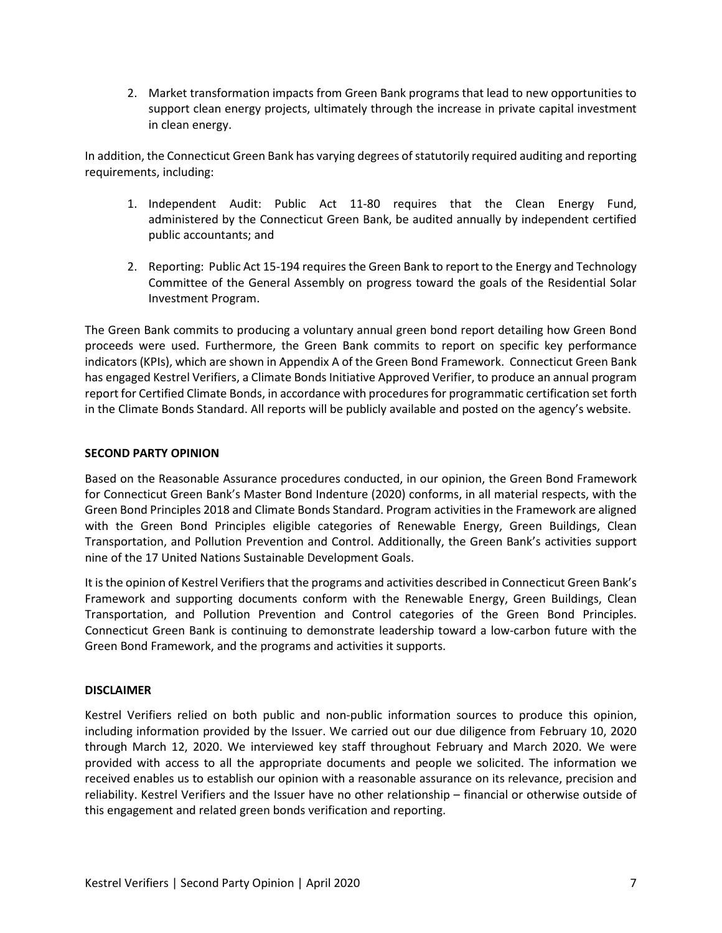2. Market transformation impacts from Green Bank programs that lead to new opportunities to support clean energy projects, ultimately through the increase in private capital investment in clean energy.

In addition, the Connecticut Green Bank has varying degrees of statutorily required auditing and reporting requirements, including:

- 1. Independent Audit: Public Act 11-80 requires that the Clean Energy Fund, administered by the Connecticut Green Bank, be audited annually by independent certified public accountants; and
- 2. Reporting: Public Act 15-194 requires the Green Bank to report to the Energy and Technology Committee of the General Assembly on progress toward the goals of the Residential Solar Investment Program.

The Green Bank commits to producing a voluntary annual green bond report detailing how Green Bond proceeds were used. Furthermore, the Green Bank commits to report on specific key performance indicators (KPIs), which are shown in Appendix A of the Green Bond Framework. Connecticut Green Bank has engaged Kestrel Verifiers, a Climate Bonds Initiative Approved Verifier, to produce an annual program report for Certified Climate Bonds, in accordance with procedures for programmatic certification set forth in the Climate Bonds Standard. All reports will be publicly available and posted on the agency's website.

### <span id="page-6-0"></span>**SECOND PARTY OPINION**

Based on the Reasonable Assurance procedures conducted, in our opinion, the Green Bond Framework for Connecticut Green Bank's Master Bond Indenture (2020) conforms, in all material respects, with the Green Bond Principles 2018 and Climate Bonds Standard. Program activities in the Framework are aligned with the Green Bond Principles eligible categories of Renewable Energy, Green Buildings, Clean Transportation, and Pollution Prevention and Control. Additionally, the Green Bank's activities support nine of the 17 United Nations Sustainable Development Goals.

It is the opinion of Kestrel Verifiers that the programs and activities described in Connecticut Green Bank's Framework and supporting documents conform with the Renewable Energy, Green Buildings, Clean Transportation, and Pollution Prevention and Control categories of the Green Bond Principles. Connecticut Green Bank is continuing to demonstrate leadership toward a low-carbon future with the Green Bond Framework, and the programs and activities it supports.

### <span id="page-6-1"></span>**DISCLAIMER**

Kestrel Verifiers relied on both public and non-public information sources to produce this opinion, including information provided by the Issuer. We carried out our due diligence from February 10, 2020 through March 12, 2020. We interviewed key staff throughout February and March 2020. We were provided with access to all the appropriate documents and people we solicited. The information we received enables us to establish our opinion with a reasonable assurance on its relevance, precision and reliability. Kestrel Verifiers and the Issuer have no other relationship – financial or otherwise outside of this engagement and related green bonds verification and reporting.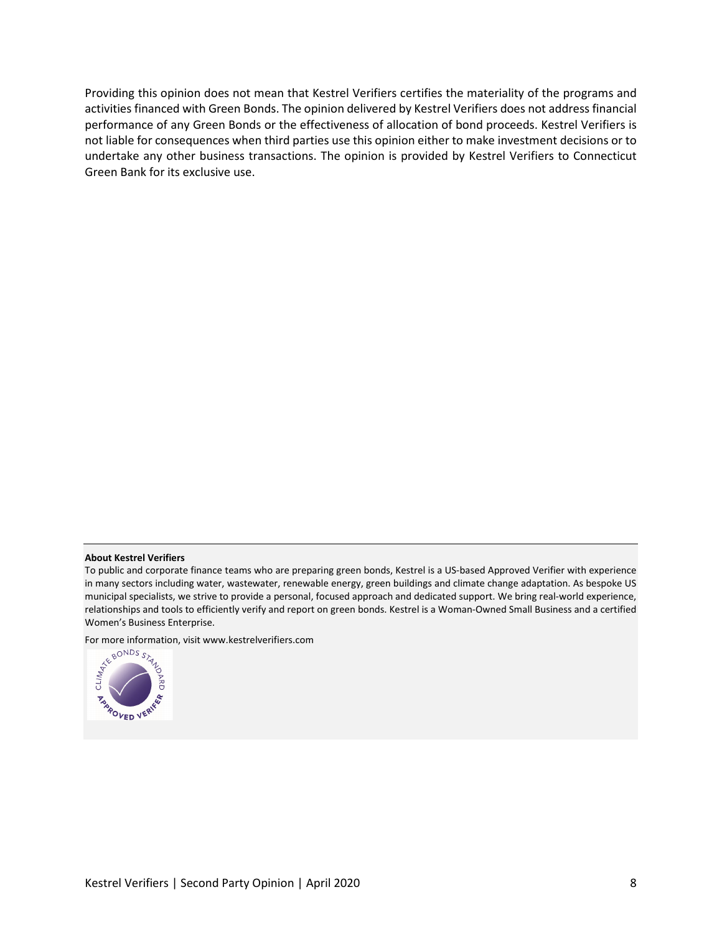Providing this opinion does not mean that Kestrel Verifiers certifies the materiality of the programs and activities financed with Green Bonds. The opinion delivered by Kestrel Verifiers does not address financial performance of any Green Bonds or the effectiveness of allocation of bond proceeds. Kestrel Verifiers is not liable for consequences when third parties use this opinion either to make investment decisions or to undertake any other business transactions. The opinion is provided by Kestrel Verifiers to Connecticut Green Bank for its exclusive use.

#### **About Kestrel Verifiers**

For more information, visi[t www.kestrelverifiers.com](http://www.kestrelverifiers.com/)



To public and corporate finance teams who are preparing green bonds, Kestrel is a US-based Approved Verifier with experience in many sectors including water, wastewater, renewable energy, green buildings and climate change adaptation. As bespoke US municipal specialists, we strive to provide a personal, focused approach and dedicated support. We bring real-world experience, relationships and tools to efficiently verify and report on green bonds. Kestrel is a Woman-Owned Small Business and a certified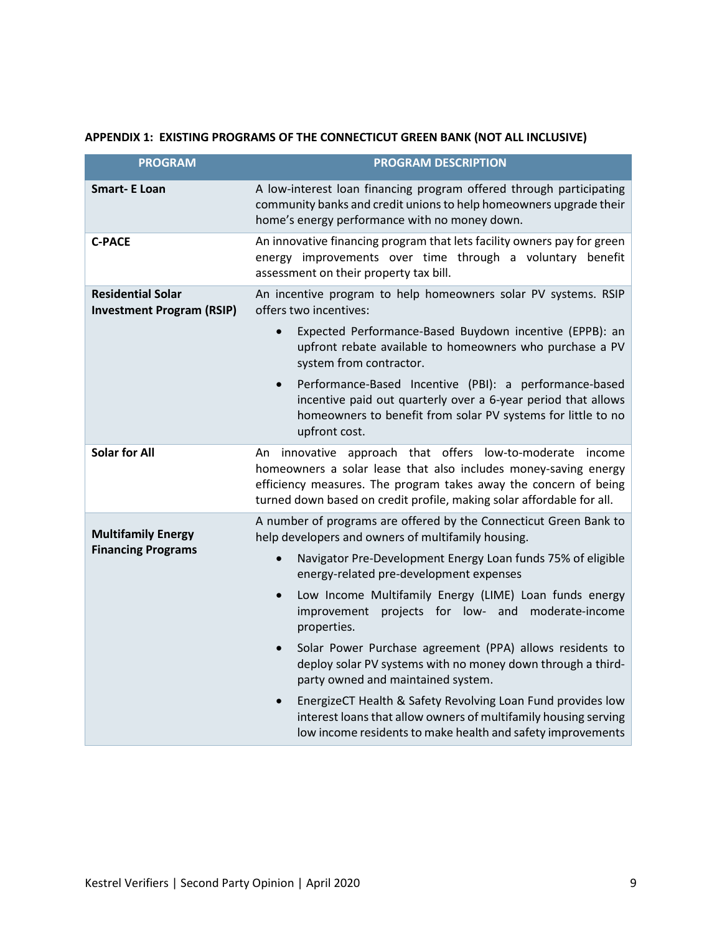# **APPENDIX 1: EXISTING PROGRAMS OF THE CONNECTICUT GREEN BANK (NOT ALL INCLUSIVE)**

| <b>PROGRAM</b>                                               | <b>PROGRAM DESCRIPTION</b>                                                                                                                                                                                                                                                   |
|--------------------------------------------------------------|------------------------------------------------------------------------------------------------------------------------------------------------------------------------------------------------------------------------------------------------------------------------------|
| <b>Smart- E Loan</b>                                         | A low-interest loan financing program offered through participating<br>community banks and credit unions to help homeowners upgrade their<br>home's energy performance with no money down.                                                                                   |
| <b>C-PACE</b>                                                | An innovative financing program that lets facility owners pay for green<br>energy improvements over time through a voluntary benefit<br>assessment on their property tax bill.                                                                                               |
| <b>Residential Solar</b><br><b>Investment Program (RSIP)</b> | An incentive program to help homeowners solar PV systems. RSIP<br>offers two incentives:                                                                                                                                                                                     |
|                                                              | Expected Performance-Based Buydown incentive (EPPB): an<br>$\bullet$<br>upfront rebate available to homeowners who purchase a PV<br>system from contractor.                                                                                                                  |
|                                                              | Performance-Based Incentive (PBI): a performance-based<br>incentive paid out quarterly over a 6-year period that allows<br>homeowners to benefit from solar PV systems for little to no<br>upfront cost.                                                                     |
| <b>Solar for All</b>                                         | An innovative approach that offers low-to-moderate<br>income<br>homeowners a solar lease that also includes money-saving energy<br>efficiency measures. The program takes away the concern of being<br>turned down based on credit profile, making solar affordable for all. |
| <b>Multifamily Energy</b><br><b>Financing Programs</b>       | A number of programs are offered by the Connecticut Green Bank to<br>help developers and owners of multifamily housing.                                                                                                                                                      |
|                                                              | Navigator Pre-Development Energy Loan funds 75% of eligible<br>energy-related pre-development expenses                                                                                                                                                                       |
|                                                              | Low Income Multifamily Energy (LIME) Loan funds energy<br>$\bullet$<br>projects for low- and moderate-income<br>improvement<br>properties.                                                                                                                                   |
|                                                              | Solar Power Purchase agreement (PPA) allows residents to<br>deploy solar PV systems with no money down through a third-<br>party owned and maintained system.                                                                                                                |
|                                                              | EnergizeCT Health & Safety Revolving Loan Fund provides low<br>interest loans that allow owners of multifamily housing serving<br>low income residents to make health and safety improvements                                                                                |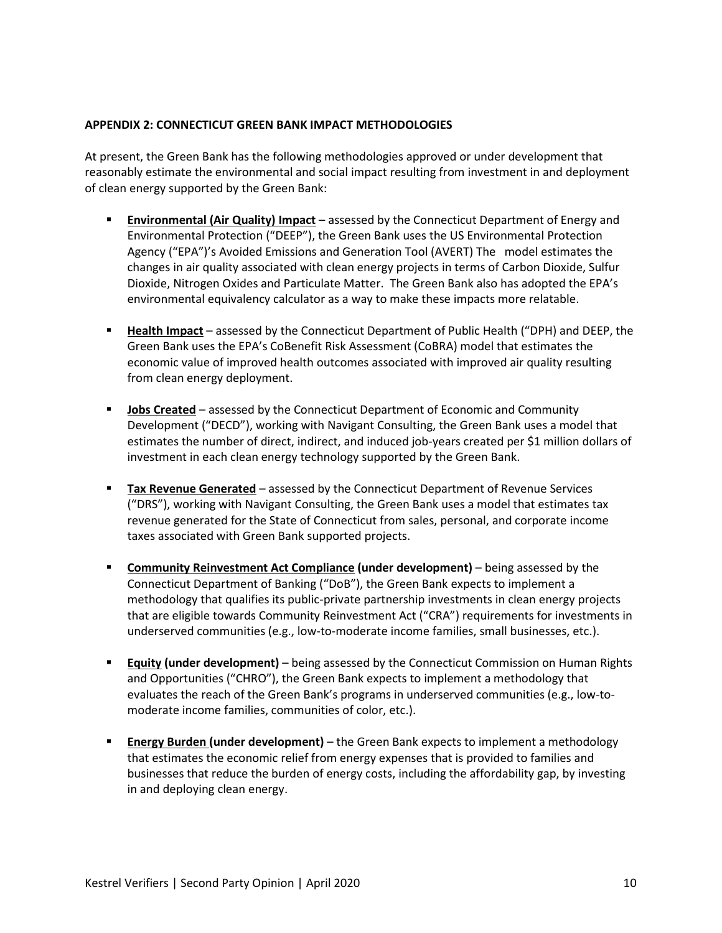#### **APPENDIX 2: CONNECTICUT GREEN BANK IMPACT METHODOLOGIES**

At present, the Green Bank has the following methodologies approved or under development that reasonably estimate the environmental and social impact resulting from investment in and deployment of clean energy supported by the Green Bank:

- **Environmental (Air Quality) Impact** assessed by the Connecticut Department of Energy and Environmental Protection ("DEEP"), the Green Bank uses the US Environmental Protection Agency ("EPA")'s Avoided Emissions and Generation Tool (AVERT) The model estimates the changes in air quality associated with clean energy projects in terms of Carbon Dioxide, Sulfur Dioxide, Nitrogen Oxides and Particulate Matter. The Green Bank also has adopted the EPA's environmental equivalency calculator as a way to make these impacts more relatable.
- **Health Impact** assessed by the Connecticut Department of Public Health ("DPH) and DEEP, the Green Bank uses the EPA's CoBenefit Risk Assessment (CoBRA) model that estimates the economic value of improved health outcomes associated with improved air quality resulting from clean energy deployment.
- **Jobs Created** assessed by the Connecticut Department of Economic and Community Development ("DECD"), working with Navigant Consulting, the Green Bank uses a model that estimates the number of direct, indirect, and induced job-years created per \$1 million dollars of investment in each clean energy technology supported by the Green Bank.
- **Tax Revenue Generated** assessed by the Connecticut Department of Revenue Services ("DRS"), working with Navigant Consulting, the Green Bank uses a model that estimates tax revenue generated for the State of Connecticut from sales, personal, and corporate income taxes associated with Green Bank supported projects.
- **Community Reinvestment Act Compliance (under development)** being assessed by the Connecticut Department of Banking ("DoB"), the Green Bank expects to implement a methodology that qualifies its public-private partnership investments in clean energy projects that are eligible towards Community Reinvestment Act ("CRA") requirements for investments in underserved communities (e.g., low-to-moderate income families, small businesses, etc.).
- **Equity (under development)** being assessed by the Connecticut Commission on Human Rights and Opportunities ("CHRO"), the Green Bank expects to implement a methodology that evaluates the reach of the Green Bank's programs in underserved communities (e.g., low-tomoderate income families, communities of color, etc.).
- **Energy Burden (under development)** the Green Bank expects to implement a methodology that estimates the economic relief from energy expenses that is provided to families and businesses that reduce the burden of energy costs, including the affordability gap, by investing in and deploying clean energy.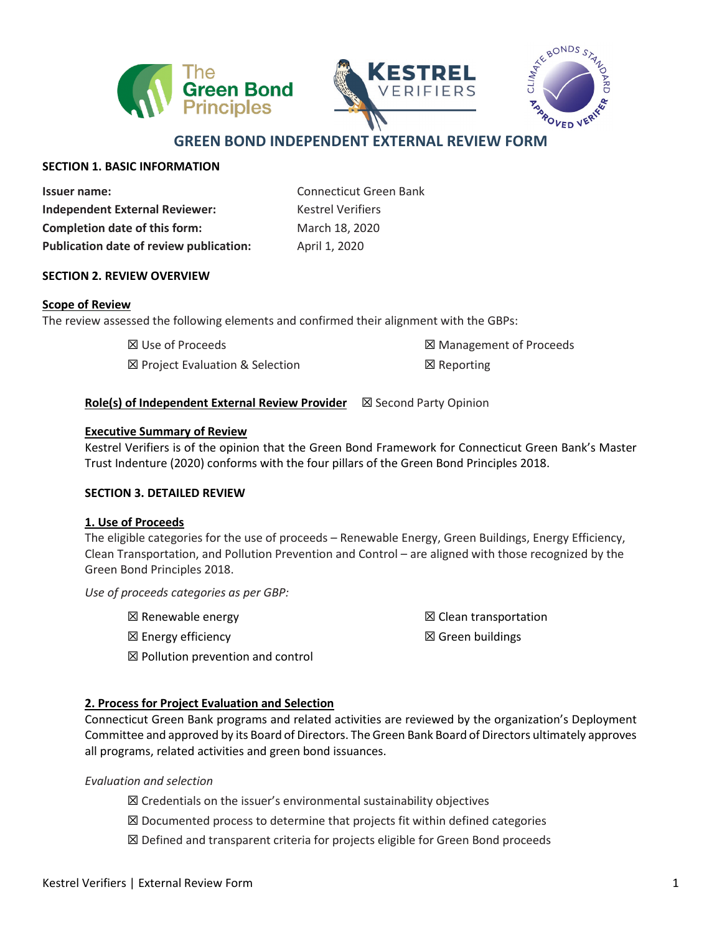





# **GREEN BOND INDEPENDENT EXTERNAL REVIEW FORM**

### **SECTION 1. BASIC INFORMATION**

| <b>Issuer name:</b>                            |
|------------------------------------------------|
| <b>Independent External Reviewer:</b>          |
| <b>Completion date of this form:</b>           |
| <b>Publication date of review publication:</b> |

**Issuer name:** Connecticut Green Bank **Kestrel Verifiers Completion date of this form:** March 18, 2020 **Publication date of review publication:** April 1, 2020

### **SECTION 2. REVIEW OVERVIEW**

### **Scope of Review**

The review assessed the following elements and confirmed their alignment with the GBPs:

☒ Use of Proceeds

☒ Project Evaluation & Selection

☒ Management of Proceeds ☒ Reporting

### **Role(s) of Independent External Review Provider** ⊠ Second Party Opinion

### **Executive Summary of Review**

Kestrel Verifiers is of the opinion that the Green Bond Framework for Connecticut Green Bank's Master Trust Indenture (2020) conforms with the four pillars of the Green Bond Principles 2018.

### **SECTION 3. DETAILED REVIEW**

### **1. Use of Proceeds**

The eligible categories for the use of proceeds – Renewable Energy, Green Buildings, Energy Efficiency, Clean Transportation, and Pollution Prevention and Control – are aligned with those recognized by the Green Bond Principles 2018.

*Use of proceeds categories as per GBP:*

☒ Renewable energy

☒ Energy efficiency

☒ Clean transportation ☒ Green buildings

☒ Pollution prevention and control

### **2. Process for Project Evaluation and Selection**

Connecticut Green Bank programs and related activities are reviewed by the organization's Deployment Committee and approved by its Board of Directors. The Green Bank Board of Directors ultimately approves all programs, related activities and green bond issuances.

### *Evaluation and selection*

- ☒ Credentials on the issuer's environmental sustainability objectives
- ☒ Documented process to determine that projects fit within defined categories
- ☒ Defined and transparent criteria for projects eligible for Green Bond proceeds